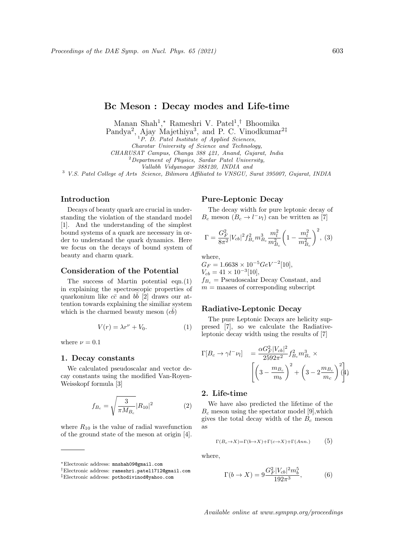# Bc Meson : Decay modes and Life-time

Manan Shah<sup>1</sup>,\* Rameshri V. Patel<sup>1</sup>,<sup>†</sup> Bhoomika

Pandya<sup>2</sup>, Ajay Majethiya<sup>3</sup>, and P. C. Vinodkumar<sup>2‡</sup>

 ${}^{1}P.$  D. Patel Institute of Applied Sciences,

Charotar University of Science and Technology,

CHARUSAT Campus, Changa 388 421, Anand, Gujarat, India

 $2$ Department of Physics, Sardar Patel University,

Vallabh Vidyanagar 388120, INDIA and

<sup>3</sup> V.S. Patel College of Arts Science, Bilimora Affiliated to VNSGU, Surat 395007, Gujarat, INDIA

## Introduction

Decays of beauty quark are crucial in understanding the violation of the standard model [1]. And the understanding of the simplest bound systems of a quark are necessary in order to understand the quark dynamics. Here we focus on the decays of bound system of beauty and charm quark.

# Consideration of the Potential

The success of Martin potential eqn.(1) in explaining the spectroscopic properties of quarkonium like  $c\bar{c}$  and  $b\bar{b}$  [2] draws our attention towards explaining the similiar system which is the charmed beauty meson  $(c\bar{b})$ 

$$
V(r) = \lambda r^{\nu} + V_0.
$$
 (1)

where  $\nu = 0.1$ 

#### 1. Decay constants

We calculated pseudoscalar and vector decay constants using the modified Van-Royen-Weisskopf formula [3]

$$
f_{B_c} = \sqrt{\frac{3}{\pi M_{B_c}}} |R_{10}|^2 \tag{2}
$$

where  $R_{10}$  is the value of radial wavefunction of the ground state of the meson at origin [4].

# Pure-Leptonic Decay

The decay width for pure leptonic decay of  $B_c$  meson  $(B_c \to l^- \nu_l)$  can be written as [7]

$$
\Gamma = \frac{G_F^2}{8\pi^2} |V_{cb}|^2 f_{Be}^2 m_{Be}^3 \frac{m_l^2}{m_{Be}^2} \left(1 - \frac{m_l^2}{m_{Be}^2}\right)^2, (3)
$$

where,

 $G_F = 1.6638 \times 10^{-5} \text{GeV}^{-2} [10],$  $V_{cb} = 41 \times 10^{-3} [10],$  $f_{B_c}$  = Pseudoscalar Decay Constant, and  $m =$  maases of corresponding subscript

# Radiative-Leptonic Decay

The pure Leptonic Decays are helicity suppresed [7], so we calculate the Radiativeleptonic decay width using the results of [7]

$$
\Gamma[B_c \to \gamma l^- \nu_l] = \frac{\alpha G_F^2 |V_{cb}|^2}{2592\pi^2} f_{B_c}^2 m_{B_c}^3 \times \left[ \left( 3 - \frac{m_{B_c}}{m_b} \right)^2 + \left( 3 - 2 \frac{m_{B_c}}{m_c} \right)^2 \right]_+^2
$$

# 2. Life-time

We have also predicted the lifetime of the  $B_c$  meson using the spectator model [9], which gives the total decay width of the  $B_c$  meson as

$$
\Gamma(B_c \to X) = \Gamma(b \to X) + \Gamma(c \to X) + \Gamma(Ann.)
$$
 (5)

where,

$$
\Gamma(b \to X) = 9 \frac{G_F^2 |V_{cb}|^2 m_b^5}{192\pi^3},\tag{6}
$$

<sup>∗</sup>Electronic address: mnshah09@gmail.com

<sup>†</sup>Electronic address: rameshri.patel1712@gmail.com

<sup>‡</sup>Electronic address: pothodivinod@yahoo.com